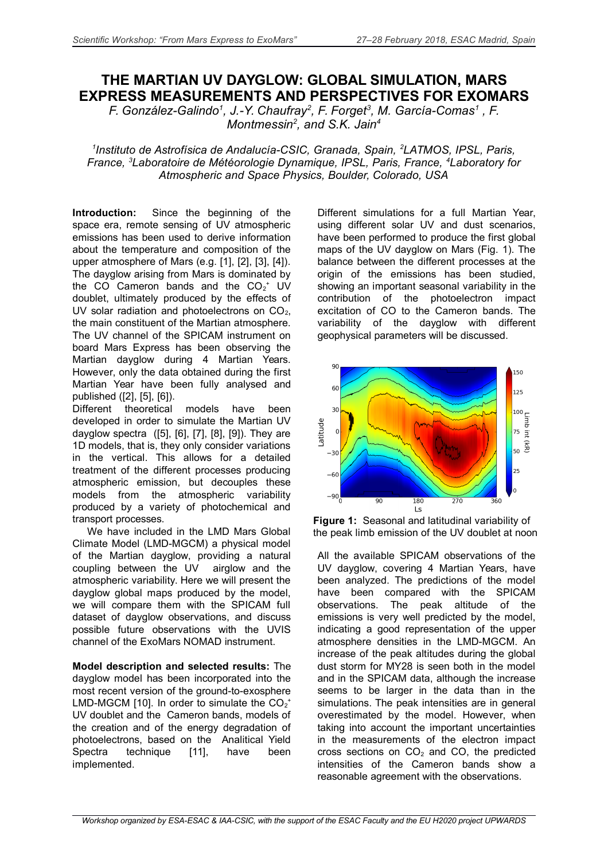## **THE MARTIAN UV DAYGLOW: GLOBAL SIMULATION, MARS EXPRESS MEASUREMENTS AND PERSPECTIVES FOR EXOMARS**

*F. González-Galindo<sup>1</sup> , J.-Y. Chaufray<sup>2</sup> , F. Forget<sup>3</sup> , M. García-Comas<sup>1</sup> , F. Montmessin<sup>2</sup> , and S.K. Jain<sup>4</sup>*

*1 Instituto de Astrofísica de Andalucía-CSIC, Granada, Spain, <sup>2</sup>LATMOS, IPSL, Paris, France, <sup>3</sup>Laboratoire de Météorologie Dynamique, IPSL, Paris, France, <sup>4</sup>Laboratory for Atmospheric and Space Physics, Boulder, Colorado, USA*

**Introduction:** Since the beginning of the space era, remote sensing of UV atmospheric emissions has been used to derive information about the temperature and composition of the upper atmosphere of Mars (e.g. [1], [2], [3], [4]). The dayglow arising from Mars is dominated by the CO Cameron bands and the  $CO_2^+$  UV doublet, ultimately produced by the effects of UV solar radiation and photoelectrons on  $CO<sub>2</sub>$ , the main constituent of the Martian atmosphere. The UV channel of the SPICAM instrument on board Mars Express has been observing the Martian dayglow during 4 Martian Years. However, only the data obtained during the first Martian Year have been fully analysed and published ([2], [5], [6]).

Different theoretical models have been developed in order to simulate the Martian UV dayglow spectra ([5], [6], [7], [8], [9]). They are 1D models, that is, they only consider variations in the vertical. This allows for a detailed treatment of the different processes producing atmospheric emission, but decouples these models from the atmospheric variability produced by a variety of photochemical and transport processes.

We have included in the LMD Mars Global Climate Model (LMD-MGCM) a physical model of the Martian dayglow, providing a natural coupling between the UV airglow and the atmospheric variability. Here we will present the dayglow global maps produced by the model, we will compare them with the SPICAM full dataset of dayglow observations, and discuss possible future observations with the UVIS channel of the ExoMars NOMAD instrument.

**Model description and selected results:** The dayglow model has been incorporated into the most recent version of the ground-to-exosphere LMD-MGCM [10]. In order to simulate the  $CO_2^+$ UV doublet and the Cameron bands, models of the creation and of the energy degradation of photoelectrons, based on the Analitical Yield Spectra technique [11], have been implemented.

Different simulations for a full Martian Year, using different solar UV and dust scenarios, have been performed to produce the first global maps of the UV dayglow on Mars (Fig. 1). The balance between the different processes at the origin of the emissions has been studied, showing an important seasonal variability in the contribution of the photoelectron impact excitation of CO to the Cameron bands. The variability of the dayglow with different geophysical parameters will be discussed.



**Figure 1:** Seasonal and latitudinal variability of the peak limb emission of the UV doublet at noon

All the available SPICAM observations of the UV dayglow, covering 4 Martian Years, have been analyzed. The predictions of the model have been compared with the SPICAM observations. The peak altitude of the emissions is very well predicted by the model, indicating a good representation of the upper atmosphere densities in the LMD-MGCM. An increase of the peak altitudes during the global dust storm for MY28 is seen both in the model and in the SPICAM data, although the increase seems to be larger in the data than in the simulations. The peak intensities are in general overestimated by the model. However, when taking into account the important uncertainties in the measurements of the electron impact cross sections on  $CO<sub>2</sub>$  and CO, the predicted intensities of the Cameron bands show a reasonable agreement with the observations.